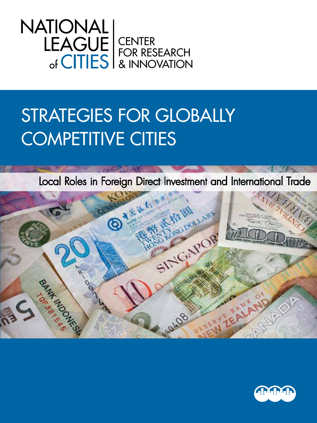

# Strategies for Globally COMPETITIVE CITIES

Local Roles in Foreign Direct Investment and International Trade



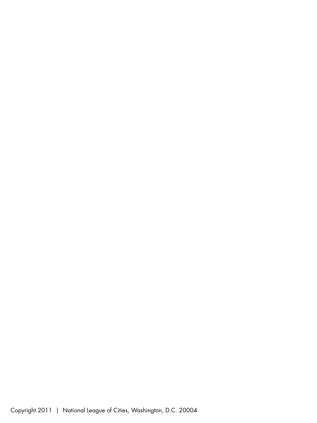Copyright 2011 | National League of Cities, Washington, D.C. 20004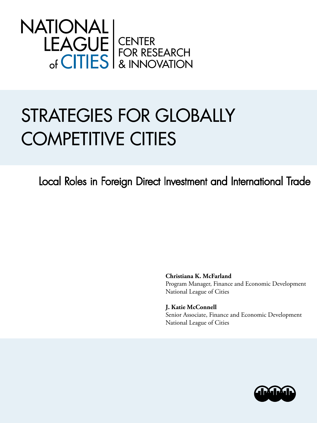

# Strategies for Globally Competitive Cities

Local Roles in Foreign Direct Investment and International Trade

**Christiana K. McFarland** Program Manager, Finance and Economic Development National League of Cities

**J. Katie McConnell** Senior Associate, Finance and Economic Development National League of Cities

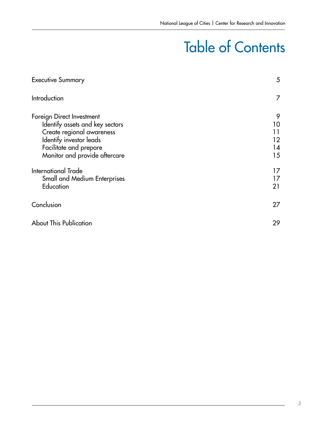# Table of Contents

| <b>Executive Summary</b>                                                                                                                                                        | 5                               |
|---------------------------------------------------------------------------------------------------------------------------------------------------------------------------------|---------------------------------|
| Introduction                                                                                                                                                                    | 7                               |
| Foreign Direct Investment<br>Identify assets and key sectors<br>Create regional awareness<br>Identify investor leads<br>Facilitate and prepare<br>Monitor and provide aftercare | 9<br>10<br>11<br>12<br>14<br>15 |
| <b>International Trade</b><br>Small and Medium Enterprises<br>Education                                                                                                         | 17.<br>17<br>21                 |
| Conclusion                                                                                                                                                                      | 27                              |
| <b>About This Publication</b>                                                                                                                                                   | 29                              |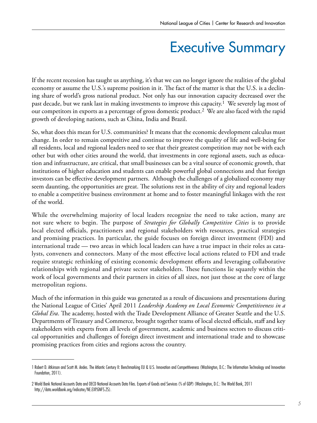## Executive Summary

If the recent recession has taught us anything, it's that we can no longer ignore the realities of the global economy or assume the U.S.'s supreme position in it. The fact of the matter is that the U.S. is a declining share of world's gross national product. Not only has our innovation capacity decreased over the past decade, but we rank last in making investments to improve this capacity.1 We severely lag most of our competitors in exports as a percentage of gross domestic product.<sup>2</sup> We are also faced with the rapid growth of developing nations, such as China, India and Brazil.

So, what does this mean for U.S. communities? It means that the economic development calculus must change. In order to remain competitive and continue to improve the quality of life and well-being for all residents, local and regional leaders need to see that their greatest competition may not be with each other but with other cities around the world, that investments in core regional assets, such as education and infrastructure, are critical, that small businesses can be a vital source of economic growth, that institutions of higher education and students can enable powerful global connections and that foreign investors can be effective development partners. Although the challenges of a globalized economy may seem daunting, the opportunities are great. The solutions rest in the ability of city and regional leaders to enable a competitive business environment at home and to foster meaningful linkages with the rest of the world.

While the overwhelming majority of local leaders recognize the need to take action, many are not sure where to begin. The purpose of *Strategies for Globally Competitive Cities* is to provide local elected officials, practitioners and regional stakeholders with resources, practical strategies and promising practices. In particular, the guide focuses on foreign direct investment (FDI) and international trade — two areas in which local leaders can have a true impact in their roles as catalysts, conveners and connectors. Many of the most effective local actions related to FDI and trade require strategic rethinking of existing economic development efforts and leveraging collaborative relationships with regional and private sector stakeholders. These functions lie squarely within the work of local governments and their partners in cities of all sizes, not just those at the core of large metropolitan regions.

Much of the information in this guide was generated as a result of discussions and presentations during the National League of Cities' April 2011 *Leadership Academy on Local Economic Competitiveness in a Global Era*. The academy, hosted with the Trade Development Alliance of Greater Seattle and the U.S. Departments of Treasury and Commerce, brought together teams of local elected officials, staff and key stakeholders with experts from all levels of government, academic and business sectors to discuss critical opportunities and challenges of foreign direct investment and international trade and to showcase promising practices from cities and regions across the country.

<sup>1</sup> Robert D. Atkinson and Scott M. Andes. The Atlantic Century II: Benchmarking EU & U.S. Innovation and Competitiveness (Washington, D.C.: The Information Technology and Innovation Foundation, 2011).

<sup>2</sup> World Bank National Accounts Data and OECD National Accounts Data Files. Exports of Goods and Services (% of GDP) (Washington, D.C.: The World Bank, 2011 http://data.worldbank.org/indicator/NE.EXP.GNFS.ZS).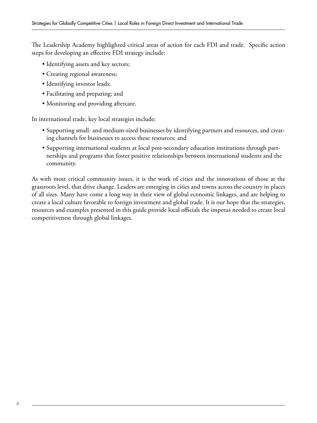The Leadership Academy highlighted critical areas of action for each FDI and trade. Specific action steps for developing an effective FDI strategy include:

- Identifying assets and key sectors;
- Creating regional awareness;
- Identifying investor leads;
- Facilitating and preparing; and
- Monitoring and providing aftercare.

In international trade, key local strategies include:

- Supporting small- and medium-sized businesses by identifying partners and resources, and creating channels for businesses to access these resources; and
- Supporting international students at local post-secondary education institutions through partnerships and programs that foster positive relationships between international students and the community.

As with most critical community issues, it is the work of cities and the innovations of those at the grassroots level, that drive change. Leaders are emerging in cities and towns across the country in places of all sizes. Many have come a long way in their view of global economic linkages, and are helping to create a local culture favorable to foreign investment and global trade. It is our hope that the strategies, resources and examples presented in this guide provide local officials the impetus needed to create local competitiveness through global linkages.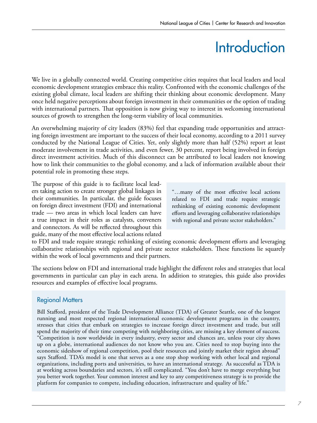# **Introduction**

We live in a globally connected world. Creating competitive cities requires that local leaders and local economic development strategies embrace this reality. Confronted with the economic challenges of the existing global climate, local leaders are shifting their thinking about economic development. Many once held negative perceptions about foreign investment in their communities or the option of trading with international partners. That opposition is now giving way to interest in welcoming international sources of growth to strengthen the long-term viability of local communities.

An overwhelming majority of city leaders (83%) feel that expanding trade opportunities and attracting foreign investment are important to the success of their local economy, according to a 2011 survey conducted by the National League of Cities. Yet, only slightly more than half (52%) report at least moderate involvement in trade activities, and even fewer, 30 percent, report being involved in foreign direct investment activities. Much of this disconnect can be attributed to local leaders not knowing how to link their communities to the global economy, and a lack of information available about their potential role in promoting these steps.

The purpose of this guide is to facilitate local leaders taking action to create stronger global linkages in their communities. In particular, the guide focuses on foreign direct investment (FDI) and international trade — two areas in which local leaders can have a true impact in their roles as catalysts, conveners and connectors. As will be reflected throughout this guide, many of the most effective local actions related

"…many of the most effective local actions related to FDI and trade require strategic rethinking of existing economic development efforts and leveraging collaborative relationships with regional and private sector stakeholders."

to FDI and trade require strategic rethinking of existing economic development efforts and leveraging collaborative relationships with regional and private sector stakeholders. These functions lie squarely within the work of local governments and their partners.

The sections below on FDI and international trade highlight the different roles and strategies that local governments in particular can play in each arena. In addition to strategies, this guide also provides resources and examples of effective local programs.

#### Regional Matters

Bill Stafford, president of the Trade Development Alliance (TDA) of Greater Seattle, one of the longest running and most respected regional international economic development programs in the country, stresses that cities that embark on strategies to increase foreign direct investment and trade, but still spend the majority of their time competing with neighboring cities, are missing a key element of success. "Competition is now worldwide in every industry, every sector and chances are, unless your city shows up on a globe, international audiences do not know who you are. Cities need to stop buying into the economic sideshow of regional competition, pool their resources and jointly market their region abroad" says Stafford. TDA's model is one that serves as a one stop shop working with other local and regional organizations, including ports and universities, to have an international strategy. As successful as TDA is at working across boundaries and sectors, it's still complicated. "You don't have to merge everything but you better work together. Your common interest and key to any competitiveness strategy is to provide the platform for companies to compete, including education, infrastructure and quality of life."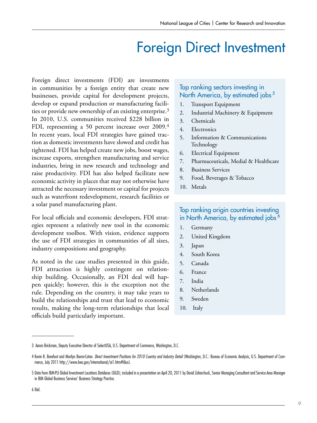## Foreign Direct Investment

Foreign direct investments (FDI) are investments in communities by a foreign entity that create new businesses, provide capital for development projects, develop or expand production or manufacturing facilities or provide new ownership of an existing enterprise.3 In 2010, U.S. communities received \$228 billion in FDI, representing a 50 percent increase over 2009.<sup>4</sup> In recent years, local FDI strategies have gained traction as domestic investments have slowed and credit has tightened. FDI has helped create new jobs, boost wages, increase exports, strengthen manufacturing and service industries, bring in new research and technology and raise productivity. FDI has also helped facilitate new economic activity in places that may not otherwise have attracted the necessary investment or capital for projects such as waterfront redevelopment, research facilities or a solar panel manufacturing plant.

For local officials and economic developers, FDI strategies represent a relatively new tool in the economic development toolbox. With vision, evidence supports the use of FDI strategies in communities of all sizes, industry compositions and geography.

As noted in the case studies presented in this guide, FDI attraction is highly contingent on relationship building. Occasionally, an FDI deal will happen quickly; however, this is the exception not the rule. Depending on the country, it may take years to build the relationships and trust that lead to economic results, making the long-term relationships that local officials build particularly important.

#### Top ranking sectors investing in North America, by estimated jobs<sup>5</sup>

- 1. Transport Equipment
- 2. Industrial Machinery & Equipment
- 3. Chemicals
- 4. Electronics
- 5. Information & Communications Technology
- 6. Electrical Equipment
- 7. Pharmaceuticals, Medial & Healthcare
- 8. Business Services
- 9. Food, Beverages & Tobacco
- 10. Metals

#### Top ranking origin countries investing in North America, by estimated jobs<sup>6</sup>

- 1. Germany
- 2. United Kingdom
- 3. Japan
- 4. South Korea
- 5. Canada
- 6. France
- 7. India
- 8. Netherlands
- 9. Sweden
- 10. Italy

<sup>3</sup> Aaron Brickman, Deputy Executive Director of SelectUSA, U.S. Department of Commerce, Washington, D.C.

<sup>4</sup> Kevin B. Barefoot and Marilyn Ibarra-Caton. *Direct Investment Positions for 2010 Country and Industry Detail* (Washington, D.C.: Bureau of Economic Analysis, U.S. Department of Commerce, July 2011 http://www.bea.gov/international/ai1.htm#fdius).

<sup>5</sup> Data from IBM-PLI Global Investment Locations Database (GILD); included in a presentation on April 20, 2011 by David Zaharchuck, Senior Managing Consultant and Service Area Manager in IBM Global Business Services' Business Strategy Practice.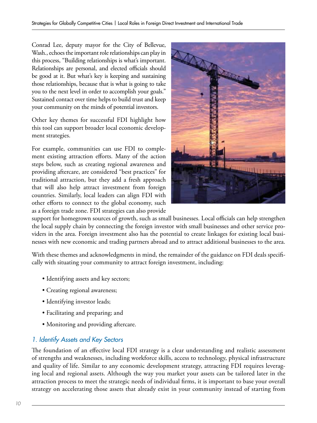Conrad Lee, deputy mayor for the City of Bellevue, Wash., echoes the important role relationships can play in this process, "Building relationships is what's important. Relationships are personal, and elected officials should be good at it. But what's key is keeping and sustaining those relationships, because that is what is going to take you to the next level in order to accomplish your goals." Sustained contact over time helps to build trust and keep your community on the minds of potential investors.

Other key themes for successful FDI highlight how this tool can support broader local economic development strategies.

For example, communities can use FDI to complement existing attraction efforts. Many of the action steps below, such as creating regional awareness and providing aftercare, are considered "best practices" for traditional attraction, but they add a fresh approach that will also help attract investment from foreign countries. Similarly, local leaders can align FDI with other efforts to connect to the global economy, such as a foreign trade zone. FDI strategies can also provide



support for homegrown sources of growth, such as small businesses. Local officials can help strengthen the local supply chain by connecting the foreign investor with small businesses and other service providers in the area. Foreign investment also has the potential to create linkages for existing local businesses with new economic and trading partners abroad and to attract additional businesses to the area.

With these themes and acknowledgments in mind, the remainder of the guidance on FDI deals specifically with situating your community to attract foreign investment, including:

- Identifying assets and key sectors;
- Creating regional awareness;
- Identifying investor leads;
- Facilitating and preparing; and
- Monitoring and providing aftercare.

#### *1. Identify Assets and Key Sectors*

The foundation of an effective local FDI strategy is a clear understanding and realistic assessment of strengths and weaknesses, including workforce skills, access to technology, physical infrastructure and quality of life. Similar to any economic development strategy, attracting FDI requires leveraging local and regional assets. Although the way you market your assets can be tailored later in the attraction process to meet the strategic needs of individual firms, it is important to base your overall strategy on accelerating those assets that already exist in your community instead of starting from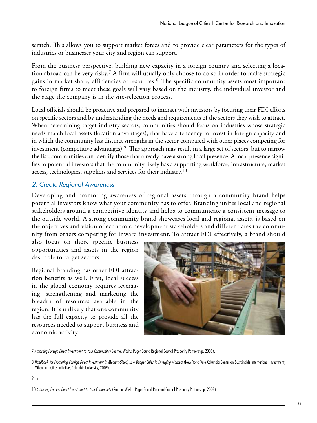scratch. This allows you to support market forces and to provide clear parameters for the types of industries or businesses your city and region can support.

From the business perspective, building new capacity in a foreign country and selecting a location abroad can be very risky.7 A firm will usually only choose to do so in order to make strategic gains in market share, efficiencies or resources.<sup>8</sup> The specific community assets most important to foreign firms to meet these goals will vary based on the industry, the individual investor and the stage the company is in the site-selection process.

Local officials should be proactive and prepared to interact with investors by focusing their FDI efforts on specific sectors and by understanding the needs and requirements of the sectors they wish to attract. When determining target industry sectors, communities should focus on industries whose strategic needs match local assets (location advantages), that have a tendency to invest in foreign capacity and in which the community has distinct strengths in the sector compared with other places competing for investment (competitive advantages).9 This approach may result in a large set of sectors, but to narrow the list, communities can identify those that already have a strong local presence. A local presence signifies to potential investors that the community likely has a supporting workforce, infrastructure, market access, technologies, suppliers and services for their industry.<sup>10</sup>

#### *2. Create Regional Awareness*

Developing and promoting awareness of regional assets through a community brand helps potential investors know what your community has to offer. Branding unites local and regional stakeholders around a competitive identity and helps to communicate a consistent message to the outside world. A strong community brand showcases local and regional assets, is based on the objectives and vision of economic development stakeholders and differentiates the community from others competing for inward investment. To attract FDI effectively, a brand should

also focus on those specific business opportunities and assets in the region desirable to target sectors.

Regional branding has other FDI attraction benefits as well. First, local success in the global economy requires leveraging, strengthening and marketing the breadth of resources available in the region. It is unlikely that one community has the full capacity to provide all the resources needed to support business and economic activity.



<sup>7</sup> *Attracting Foreign Direct Investment to Your Community* (Seattle, Wash.: Puget Sound Regional Council Prosperity Partnership, 2009).

<sup>8</sup> *Handbook for Promoting Foreign Direct Investment in Medium-Sized, Low Budget Cities in Emerging Markets* (New York: Vale Columbia Center on Sustainable International Investment, Millennium Cities Initiative, Columbia University, 2009).

<sup>9</sup> Ibid.

<sup>10</sup> *Attracting Foreign Direct Investment to Your Community* (Seattle, Wash.: Puget Sound Regional Council Prosperity Partnership, 2009).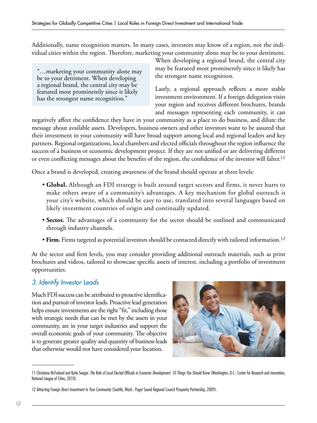Additionally, name recognition matters. In many cases, investors may know of a region, not the individual cities within the region. Therefore, marketing your community alone may be to your detriment.

"…marketing your community alone may be to your detriment. When developing a regional brand, the central city may be featured most prominently since it likely has the strongest name recognition."

When developing a regional brand, the central city may be featured most prominently since it likely has the strongest name recognition.

Lastly, a regional approach reflects a more stable investment environment. If a foreign delegation visits your region and receives different brochures, brands and messages representing each community, it can

negatively affect the confidence they have in your community as a place to do business, and dilute the message about available assets. Developers, business owners and other investors want to be assured that their investment in your community will have broad support among local and regional leaders and key partners. Regional organizations, local chambers and elected officials throughout the region influence the success of a business or economic development project. If they are not unified or are delivering different or even conflicting messages about the benefits of the region, the confidence of the investor will falter.<sup>11</sup>

Once a brand is developed, creating awareness of the brand should operate at three levels:

- **Global.** Although an FDI strategy is built around target sectors and firms, it never hurts to make others aware of a community's advantages. A key mechanism for global outreach is your city's website, which should be easy to use, translated into several languages based on likely investment countries of origin and continually updated.
- **Sector.** The advantages of a community for the sector should be outlined and communicated through industry channels.
- Firm. Firms targeted as potential investors should be contacted directly with tailored information.<sup>12</sup>

At the sector and firm levels, you may consider providing additional outreach materials, such as print brochures and videos, tailored to showcase specific assets of interest, including a portfolio of investment opportunities.

#### *3. Identify Investor Leads*

Much FDI success can be attributed to proactive identification and pursuit of investor leads. Proactive lead generation helps ensure investments are the right "fit," including those with strategic needs that can be met by the assets in your community, are in your target industries and support the overall economic goals of your community. The objective is to generate greater quality and quantity of business leads that otherwise would not have considered your location.



<sup>11</sup> Christiana McFarland and Katie Seeger. *The Role of Local Elected Officials in Economic Development: 10 Things You Should Know* (Washington, D.C.: Center for Research and Innovation, National League of Cities, 2010).

<sup>12</sup> *Attracting Foreign Direct Investment to Your Community* (Seattle, Wash.: Puget Sound Regional Council Prosperity Partnership, 2009).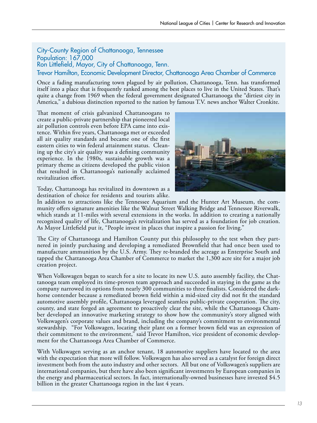City-County Region of Chattanooga, Tennessee Population: 167,000 Ron Littlefield, Mayor, City of Chattanooga, Tenn. Trevor Hamilton, Economic Development Director, Chattanooga Area Chamber of Commerce

Once a fading manufacturing town plagued by air pollution, Chattanooga, Tenn. has transformed itself into a place that is frequently ranked among the best places to live in the United States. That's quite a change from 1969 when the federal government designated Chattanooga the "dirtiest city in America," a dubious distinction reported to the nation by famous T.V. news anchor Walter Cronkite.

That moment of crisis galvanized Chattanoogans to create a public-private partnership that pioneered local air pollution controls even before EPA came into existence. Within five years, Chattanooga met or exceeded all air quality standards and became one of the first eastern cities to win federal attainment status. Cleaning up the city's air quality was a defining community experience. In the 1980s, sustainable growth was a primary theme as citizens developed the public vision that resulted in Chattanooga's nationally acclaimed revitalization effort.



Today, Chattanooga has revitalized its downtown as a destination of choice for residents and tourists alike.

In addition to attractions like the Tennessee Aquarium and the Hunter Art Museum, the community offers signature amenities like the Walnut Street Walking Bridge and Tennessee Riverwalk, which stands at 11-miles with several extensions in the works. In addition to creating a nationally recognized quality of life, Chattanooga's revitalization has served as a foundation for job creation. As Mayor Littlefield put it, "People invest in places that inspire a passion for living."

The City of Chattanooga and Hamilton County put this philosophy to the test when they partnered in jointly purchasing and developing a remediated Brownfield that had once been used to manufacture ammunition by the U.S. Army. They re-branded the acreage as Enterprise South and tapped the Chattanooga Area Chamber of Commerce to market the 1,300 acre site for a major job creation project.

When Volkswagen began to search for a site to locate its new U.S. auto assembly facility, the Chattanooga team employed its time-proven team approach and succeeded in staying in the game as the company narrowed its options from nearly 300 communities to three finalists. Considered the darkhorse contender because a remediated brown field within a mid-sized city did not fit the standard automotive assembly profile, Chattanooga leveraged seamless public-private cooperation. The city, county, and state forged an agreement to proactively clear the site, while the Chattanooga Chamber developed an innovative marketing strategy to show how the community's story aligned with Volkswagen's corporate values and brand, including the company's commitment to environmental stewardship. "For Volkswagen, locating their plant on a former brown field was an expression of their commitment to the environment," said Trevor Hamilton, vice president of economic development for the Chattanooga Area Chamber of Commerce.

With Volkswagen serving as an anchor tenant, 18 automotive suppliers have located to the area with the expectation that more will follow. Volkswagen has also served as a catalyst for foreign direct investment both from the auto industry and other sectors. All but one of Volkswagen's suppliers are international companies, but there have also been significant investments by European companies in the energy and pharmaceutical sectors. In fact, internationally-owned businesses have invested \$4.5 billion in the greater Chattanooga region in the last 4 years.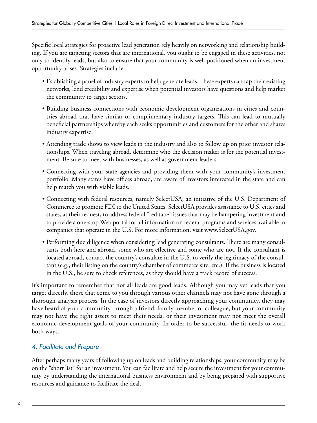Specific local strategies for proactive lead generation rely heavily on networking and relationship building. If you are targeting sectors that are international, you ought to be engaged in these activities, not only to identify leads, but also to ensure that your community is well-positioned when an investment opportunity arises. Strategies include:

- Establishing a panel of industry experts to help generate leads. These experts can tap their existing networks, lend credibility and expertise when potential investors have questions and help market the community to target sectors.
- Building business connections with economic development organizations in cities and countries abroad that have similar or complimentary industry targets. This can lead to mutually beneficial partnerships whereby each seeks opportunities and customers for the other and shares industry expertise.
- Attending trade shows to view leads in the industry and also to follow up on prior investor relationships. When traveling abroad, determine who the decision maker is for the potential investment. Be sure to meet with businesses, as well as government leaders.
- Connecting with your state agencies and providing them with your community's investment portfolio. Many states have offices abroad, are aware of investors interested in the state and can help match you with viable leads.
- Connecting with federal resources, namely SelectUSA, an initiative of the U.S. Department of Commerce to promote FDI to the United States. SelectUSA provides assistance to U.S. cities and states, at their request, to address federal "red tape" issues that may be hampering investment and to provide a one-stop Web portal for all information on federal programs and services available to companies that operate in the U.S. For more information, visit www.SelectUSA.gov.
- Performing due diligence when considering lead generating consultants. There are many consultants both here and abroad, some who are effective and some who are not. If the consultant is located abroad, contact the country's consulate in the U.S. to verify the legitimacy of the consultant (e.g., their listing on the country's chamber of commerce site, etc.). If the business is located in the U.S., be sure to check references, as they should have a track record of success.

It's important to remember that not all leads are good leads. Although you may vet leads that you target directly, those that come to you through various other channels may not have gone through a thorough analysis process. In the case of investors directly approaching your community, they may have heard of your community through a friend, family member or colleague, but your community may not have the right assets to meet their needs, or their investment may not meet the overall economic development goals of your community. In order to be successful, the fit needs to work both ways.

#### *4. Facilitate and Prepare*

After perhaps many years of following up on leads and building relationships, your community may be on the "short list" for an investment. You can facilitate and help secure the investment for your community by understanding the international business environment and by being prepared with supportive resources and guidance to facilitate the deal.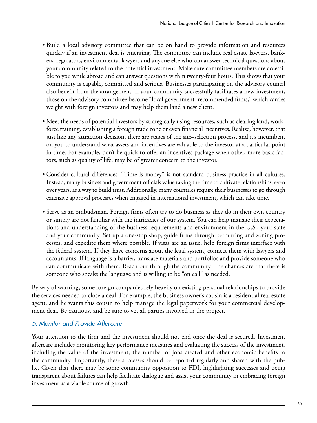- Build a local advisory committee that can be on hand to provide information and resources quickly if an investment deal is emerging. The committee can include real estate lawyers, bankers, regulators, environmental lawyers and anyone else who can answer technical questions about your community related to the potential investment. Make sure committee members are accessible to you while abroad and can answer questions within twenty-four hours. This shows that your community is capable, committed and serious. Businesses participating on the advisory council also benefit from the arrangement. If your community successfully facilitates a new investment, those on the advisory committee become "local government–recommended firms," which carries weight with foreign investors and may help them land a new client.
- Meet the needs of potential investors by strategically using resources, such as clearing land, workforce training, establishing a foreign trade zone or even financial incentives. Realize, however, that just like any attraction decision, there are stages of the site–selection process, and it's incumbent on you to understand what assets and incentives are valuable to the investor at a particular point in time. For example, don't be quick to offer an incentives package when other, more basic factors, such as quality of life, may be of greater concern to the investor.
- Consider cultural differences. "Time is money" is not standard business practice in all cultures. Instead, many business and government officials value taking the time to cultivate relationships, even over years, as a way to build trust. Additionally, many countries require their businesses to go through extensive approval processes when engaged in international investment, which can take time.
- Serve as an ombudsman. Foreign firms often try to do business as they do in their own country or simply are not familiar with the intricacies of our system. You can help manage their expectations and understanding of the business requirements and environment in the U.S., your state and your community. Set up a one-stop shop, guide firms through permitting and zoning processes, and expedite them where possible. If visas are an issue, help foreign firms interface with the federal system. If they have concerns about the legal system, connect them with lawyers and accountants. If language is a barrier, translate materials and portfolios and provide someone who can communicate with them. Reach out through the community. The chances are that there is someone who speaks the language and is willing to be "on call" as needed.

By way of warning, some foreign companies rely heavily on existing personal relationships to provide the services needed to close a deal. For example, the business owner's cousin is a residential real estate agent, and he wants this cousin to help manage the legal paperwork for your commercial development deal. Be cautious, and be sure to vet all parties involved in the project.

#### *5. Monitor and Provide Aftercare*

Your attention to the firm and the investment should not end once the deal is secured. Investment aftercare includes monitoring key performance measures and evaluating the success of the investment, including the value of the investment, the number of jobs created and other economic benefits to the community. Importantly, these successes should be reported regularly and shared with the public. Given that there may be some community opposition to FDI, highlighting successes and being transparent about failures can help facilitate dialogue and assist your community in embracing foreign investment as a viable source of growth.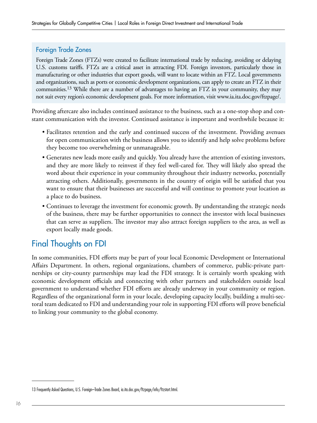#### Foreign Trade Zones

Foreign Trade Zones (FTZs) were created to facilitate international trade by reducing, avoiding or delaying U.S. customs tariffs. FTZs are a critical asset in attracting FDI. Foreign investors, particularly those in manufacturing or other industries that export goods, will want to locate within an FTZ. Local governments and organizations, such as ports or economic development organizations, can apply to create an FTZ in their communities.13 While there are a number of advantages to having an FTZ in your community, they may not suit every region's economic development goals. For more information, visit www.ia.ita.doc.gov/ftzpage/.

Providing aftercare also includes continued assistance to the business, such as a one-stop shop and constant communication with the investor. Continued assistance is important and worthwhile because it:

- Facilitates retention and the early and continued success of the investment. Providing avenues for open communication with the business allows you to identify and help solve problems before they become too overwhelming or unmanageable.
- Generates new leads more easily and quickly. You already have the attention of existing investors, and they are more likely to reinvest if they feel well-cared for. They will likely also spread the word about their experience in your community throughout their industry networks, potentially attracting others. Additionally, governments in the country of origin will be satisfied that you want to ensure that their businesses are successful and will continue to promote your location as a place to do business.
- Continues to leverage the investment for economic growth. By understanding the strategic needs of the business, there may be further opportunities to connect the investor with local businesses that can serve as suppliers. The investor may also attract foreign suppliers to the area, as well as export locally made goods.

### Final Thoughts on FDI

In some communities, FDI efforts may be part of your local Economic Development or International Affairs Department. In others, regional organizations, chambers of commerce, public-private partnerships or city-county partnerships may lead the FDI strategy. It is certainly worth speaking with economic development officials and connecting with other partners and stakeholders outside local government to understand whether FDI efforts are already underway in your community or region. Regardless of the organizational form in your locale, developing capacity locally, building a multi-sectoral team dedicated to FDI and understanding your role in supporting FDI efforts will prove beneficial to linking your community to the global economy.

<sup>13</sup> Frequently Asked Questions, U.S. Foreign–Trade Zones Board, ia.ita.doc.gov/ftzpage/info/ftzstart.html.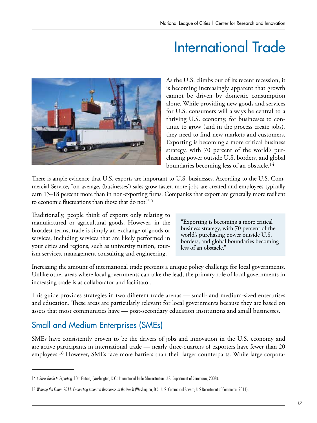# International Trade



As the U.S. climbs out of its recent recession, it is becoming increasingly apparent that growth cannot be driven by domestic consumption alone. While providing new goods and services for U.S. consumers will always be central to a thriving U.S. economy, for businesses to continue to grow (and in the process create jobs), they need to find new markets and customers. Exporting is becoming a more critical business strategy, with 70 percent of the world's purchasing power outside U.S. borders, and global boundaries becoming less of an obstacle.14

There is ample evidence that U.S. exports are important to U.S. businesses. According to the U.S. Commercial Service, "on average, (businesses') sales grow faster, more jobs are created and employees typically earn 13–18 percent more than in non-exporting firms. Companies that export are generally more resilient to economic fluctuations than those that do not."15

Traditionally, people think of exports only relating to manufactured or agricultural goods. However, in the broadest terms, trade is simply an exchange of goods or services, including services that are likely performed in your cities and regions, such as university tuition, tourism services, management consulting and engineering.

"Exporting is becoming a more critical business strategy, with 70 percent of the world's purchasing power outside U.S. borders, and global boundaries becoming less of an obstacle."

Increasing the amount of international trade presents a unique policy challenge for local governments. Unlike other areas where local governments can take the lead, the primary role of local governments in increasing trade is as collaborator and facilitator.

This guide provides strategies in two different trade arenas — small- and medium-sized enterprises and education. These areas are particularly relevant for local governments because they are based on assets that most communities have — post-secondary education institutions and small businesses.

### Small and Medium Enterprises (SMEs)

SMEs have consistently proven to be the drivers of jobs and innovation in the U.S. economy and are active participants in international trade — nearly three-quarters of exporters have fewer than 20 employees.16 However, SMEs face more barriers than their larger counterparts. While large corpora-

<sup>14</sup> *A Basic Guide to Exporting*, 10th Edition, (Washington, D.C.: International Trade Administration, U.S. Department of Commerce, 2008).

<sup>15</sup> Winning the Future 2011: Connecting American Businesses to the World (Washington, D.C.: U.S. Commercial Service, U.S Department of Commerce, 2011).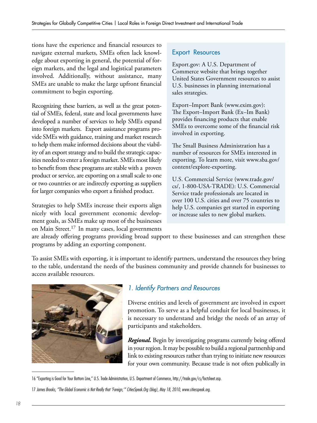tions have the experience and financial resources to navigate external markets, SMEs often lack knowledge about exporting in general, the potential of foreign markets, and the legal and logistical parameters involved. Additionally, without assistance, many SMEs are unable to make the large upfront financial commitment to begin exporting.

Recognizing these barriers, as well as the great potential of SMEs, federal, state and local governments have developed a number of services to help SMEs expand into foreign markets. Export assistance programs provide SMEs with guidance, training and market research to help them make informed decisions about the viability of an export strategy and to build the strategic capacities needed to enter a foreign market. SMEs most likely to benefit from these programs are stable with a proven product or service, are exporting on a small scale to one or two countries or are indirectly exporting as suppliers for larger companies who export a finished product.

Strategies to help SMEs increase their exports align nicely with local government economic development goals, as SMEs make up most of the businesses on Main Street.17 In many cases, local governments

#### Export Resources

Export.gov: A U.S. Department of Commerce website that brings together United States Government resources to assist U.S. businesses in planning international sales strategies.

Export–Import Bank (www.exim.gov): The Export–Import Bank (Ex–Im Bank) provides financing products that enable SMEs to overcome some of the financial risk involved in exporting.

The Small Business Administration has a number of resources for SMEs interested in exporting. To learn more, visit www.sba.gov/ content/explore-exporting.

U.S. Commercial Service (www.trade.gov/ cs/, 1-800-USA-TRADE): U.S. Commercial Service trade professionals are located in over 100 U.S. cities and over 75 countries to help U.S. companies get started in exporting or increase sales to new global markets.

are already offering programs providing broad support to these businesses and can strengthen these programs by adding an exporting component.

To assist SMEs with exporting, it is important to identify partners, understand the resources they bring to the table, understand the needs of the business community and provide channels for businesses to access available resources.



#### *1. Identify Partners and Resources*

Diverse entities and levels of government are involved in export promotion. To serve as a helpful conduit for local businesses, it is necessary to understand and bridge the needs of an array of participants and stakeholders.

*Regional.* Begin by investigating programs currently being offered in your region. It may be possible to build a regional partnership and link to existing resources rather than trying to initiate new resources for your own community. Because trade is not often publically in

<sup>16 &</sup>quot;Exporting is Good for Your Bottom Line," U.S. Trade Administration, U.S. Department of Commerce, http://trade.gov/cs/factsheet.asp.

<sup>17</sup> *James Brooks, "The Global Economic is Not Really that 'Foreign,'" CitiesSpeak.Org (blog), May 18, 2010, www.citiesspeak.org.*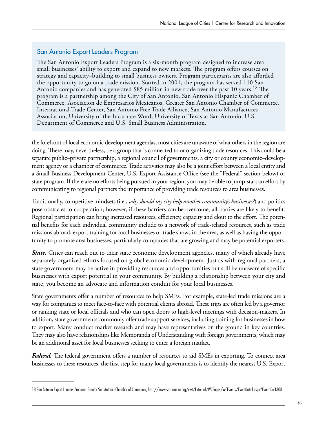#### San Antonio Export Leaders Program

The San Antonio Export Leaders Program is a six-month program designed to increase area small businesses' ability to export and expand to new markets. The program offers courses on strategy and capacity–building to small business owners. Program participants are also afforded the opportunity to go on a trade mission. Started in 2001, the program has served 110 San Antonio companies and has generated \$85 million in new trade over the past 10 years.<sup>18</sup> The program is a partnership among the City of San Antonio, San Antonio Hispanic Chamber of Commerce, Asociacion de Empresarios Mexicanos, Greater San Antonio Chamber of Commerce, International Trade Center, San Antonio Free Trade Alliance, San Antonio Manufactures Association, University of the Incarnate Word, University of Texas at San Antonio, U.S. Department of Commerce and U.S. Small Business Administration.

the forefront of local economic development agendas, most cities are unaware of what others in the region are doing. There may, nevertheless, be a group that is connected to or organizing trade resources. This could be a separate public–private partnership, a regional council of governments, a city or county economic–development agency or a chamber of commerce. Trade activities may also be a joint effort between a local entity and a Small Business Development Center, U.S. Export Assistance Office (see the "Federal" section below) or state program. If there are no efforts being pursued in your region, you may be able to jump-start an effort by communicating to regional partners the importance of providing trade resources to area businesses.

Traditionally, competitive mindsets (i.e., *why should my city help another community's businesses?*) and politics pose obstacles to cooperation; however, if these barriers can be overcome, all parties are likely to benefit. Regional participation can bring increased resources, efficiency, capacity and clout to the effort. The potential benefits for each individual community include to a network of trade-related resources, such as trade missions abroad, export training for local businesses or trade shows in the area, as well as having the opportunity to promote area businesses, particularly companies that are growing and may be potential exporters.

*State.* Cities can reach out to their state economic development agencies, many of which already have separately organized efforts focused on global economic development. Just as with regional partners, a state government may be active in providing resources and opportunities but still be unaware of specific businesses with export potential in your community. By building a relationship between your city and state, you become an advocate and information conduit for your local businesses.

State governments offer a number of resources to help SMEs. For example, state-led trade missions are a way for companies to meet face-to-face with potential clients abroad. These trips are often led by a governor or ranking state or local officials and who can open doors to high-level meetings with decision-makers. In addition, state governments commonly offer trade support services, including training for businesses in how to export. Many conduct market research and may have representatives on the ground in key countries. They may also have relationships like Memoranda of Understanding with foreign governments, which may be an additional asset for local businesses seeking to enter a foreign market.

*Federal.* The federal government offers a number of resources to aid SMEs in exporting. To connect area businesses to these resources, the first step for many local governments is to identify the nearest U.S. Export

<sup>18</sup> San Antonio Export Leaders Program, Greater San Antonio Chamber of Commerce, http://www.sachamber.org/cwt/External/WCPages/WCEvents/EventDetail.aspx?EventID=1308.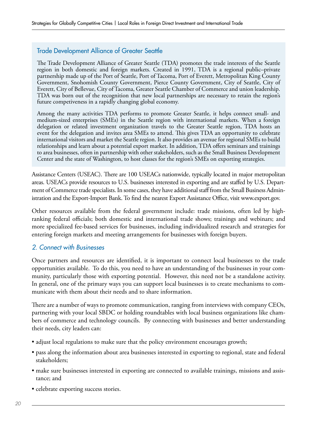#### Trade Development Alliance of Greater Seattle

The Trade Development Alliance of Greater Seattle (TDA) promotes the trade interests of the Seattle region in both domestic and foreign markets. Created in 1991, TDA is a regional public–private partnership made up of the Port of Seattle, Port of Tacoma, Port of Everett, Metropolitan King County Government, Snohomish County Government, Pierce County Government, City of Seattle, City of Everett, City of Bellevue, City of Tacoma, Greater Seattle Chamber of Commerce and union leadership. TDA was born out of the recognition that new local partnerships are necessary to retain the region's future competiveness in a rapidly changing global economy.

Among the many activities TDA performs to promote Greater Seattle, it helps connect small- and medium-sized enterprises (SMEs) in the Seattle region with international markets. When a foreign delegation or related investment organization travels to the Greater Seattle region, TDA hosts an event for the delegation and invites area SMEs to attend. This gives TDA an opportunity to celebrate international visitors and market the Seattle region. It also provides an avenue for regional SMEs to build relationships and learn about a potential export market. In addition, TDA offers seminars and trainings to area businesses, often in partnership with other stakeholders, such as the Small Business Development Center and the state of Washington, to host classes for the region's SMEs on exporting strategies.

Assistance Centers (USEAC). There are 100 USEACs nationwide, typically located in major metropolitan areas. USEACs provide resources to U.S. businesses interested in exporting and are staffed by U.S. Department of Commerce trade specialists. In some cases, they have additional staff from the Small Business Administration and the Export-Import Bank. To find the nearest Export Assistance Office, visit www.export.gov.

Other resources available from the federal government include: trade missions, often led by highranking federal officials; both domestic and international trade shows; trainings and webinars; and more specialized fee-based services for businesses, including individualized research and strategies for entering foreign markets and meeting arrangements for businesses with foreign buyers.

#### *2. Connect with Businesses*

Once partners and resources are identified, it is important to connect local businesses to the trade opportunities available. To do this, you need to have an understanding of the businesses in your community, particularly those with exporting potential. However, this need not be a standalone activity. In general, one of the primary ways you can support local businesses is to create mechanisms to communicate with them about their needs and to share information.

There are a number of ways to promote communication, ranging from interviews with company CEOs, partnering with your local SBDC or holding roundtables with local business organizations like chambers of commerce and technology councils. By connecting with businesses and better understanding their needs, city leaders can:

- adjust local regulations to make sure that the policy environment encourages growth;
- pass along the information about area businesses interested in exporting to regional, state and federal stakeholders;
- make sure businesses interested in exporting are connected to available trainings, missions and assistance; and
- celebrate exporting success stories.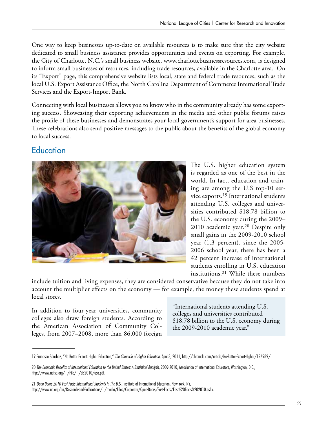One way to keep businesses up-to-date on available resources is to make sure that the city website dedicated to small business assistance provides opportunities and events on exporting. For example, the City of Charlotte, N.C.'s small business website, www.charlottebusinessresources.com, is designed to inform small businesses of resources, including trade resources, available in the Charlotte area. On its "Export" page, this comprehensive website lists local, state and federal trade resources, such as the local U.S. Export Assistance Office, the North Carolina Department of Commerce International Trade Services and the Export-Import Bank.

Connecting with local businesses allows you to know who in the community already has some exporting success. Showcasing their exporting achievements in the media and other public forums raises the profile of these businesses and demonstrates your local government's support for area businesses. These celebrations also send positive messages to the public about the benefits of the global economy to local success.

### **Education**



The U.S. higher education system is regarded as one of the best in the world. In fact, education and training are among the U.S top-10 service exports.19 International students attending U.S. colleges and universities contributed \$18.78 billion to the U.S. economy during the 2009– 2010 academic year.<sup>20</sup> Despite only small gains in the 2009-2010 school year (1.3 percent), since the 2005- 2006 school year, there has been a 42 percent increase of international students enrolling in U.S. education institutions.21 While these numbers

include tuition and living expenses, they are considered conservative because they do not take into account the multiplier effects on the economy — for example, the money these students spend at local stores.

In addition to four-year universities, community colleges also draw foreign students. According to the American Association of Community Colleges, from 2007–2008, more than 86,000 foreign

"International students attending U.S. colleges and universities contributed \$18.78 billion to the U.S. economy during the 2009-2010 academic year."

21 *Open Doors 2010 Fast Facts International Students in The U.S.*, Institute of International Education, New York, NY,

<sup>19</sup> Francisco Sánchez, "No Better Export: Higher Education," *The Chronicle of Higher Education*, April 3, 2011, http://chronicle.com/article/No-Better-Export-Higher/126989/.

<sup>20</sup> *The Economic Benefits of International Education to the United States: A Statistical Analysis*, 2009-2010, Association of International Educators, Washington, D.C., http://www.nafsa.org/\_/File/\_/eis2010/usa.pdf.

http://www.iie.org/en/Research-and-Publications/~/media/Files/Corporate/Open-Doors/Fast-Facts/Fast%20Facts%202010.ashx.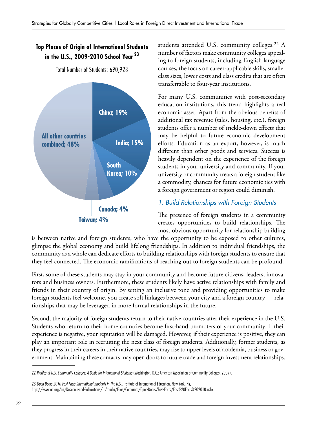#### **Top Places of Origin of International Students in the U.S., 2009-2010 School Year 23**

Total Number of Students: 690,923



students attended U.S. community colleges.22 A number of factors make community colleges appealing to foreign students, including English language courses, the focus on career-applicable skills, smaller class sizes, lower costs and class credits that are often transferrable to four-year institutions.

For many U.S. communities with post-secondary education institutions, this trend highlights a real economic asset. Apart from the obvious benefits of additional tax revenue (sales, housing, etc.), foreign students offer a number of trickle-down effects that may be helpful to future economic development efforts. Education as an export, however, is much different than other goods and services. Success is heavily dependent on the experience of the foreign students in your university and community. If your university or community treats a foreign student like a commodity, chances for future economic ties with a foreign government or region could diminish.

#### *1. Build Relationships with Foreign Students*

The presence of foreign students in a community creates opportunities to build relationships. The most obvious opportunity for relationship building

is between native and foreign students, who have the opportunity to be exposed to other cultures, glimpse the global economy and build lifelong friendships. In addition to individual friendships, the community as a whole can dedicate efforts to building relationships with foreign students to ensure that they feel connected. The economic ramifications of reaching out to foreign students can be profound.

First, some of these students may stay in your community and become future citizens, leaders, innovators and business owners. Furthermore, these students likely have active relationships with family and friends in their country of origin. By setting an inclusive tone and providing opportunities to make foreign students feel welcome, you create soft linkages between your city and a foreign country — relationships that may be leveraged in more formal relationships in the future.

Second, the majority of foreign students return to their native countries after their experience in the U.S. Students who return to their home countries become first-hand promoters of your community. If their experience is negative, your reputation will be damaged. However, if their experience is positive, they can play an important role in recruiting the next class of foreign students. Additionally, former students, as they progress in their careers in their native countries, may rise to upper levels of academia, business or government. Maintaining these contacts may open doors to future trade and foreign investment relationships.

23 *Open Doors 2010 Fast Facts International Students in The U.S.*, Institute of International Education, New York, NY, http://www.iie.org/en/Research-and-Publications/~/media/Files/Corporate/Open-Doors/Fast-Facts/Fast%20Facts%202010.ashx.

<sup>22</sup> *Profiles of U.S. Community Colleges: A Guide for International Students* (Washington, D.C.: American Association of Community Colleges, 2009).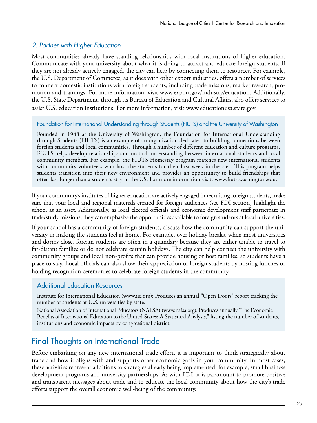#### *2. Partner with Higher Education*

Most communities already have standing relationships with local institutions of higher education. Communicate with your university about what it is doing to attract and educate foreign students. If they are not already actively engaged, the city can help by connecting them to resources. For example, the U.S. Department of Commerce, as it does with other export industries, offers a number of services to connect domestic institutions with foreign students, including trade missions, market research, promotion and trainings. For more information, visit www.export.gov/industry/education. Additionally, the U.S. State Department, through its Bureau of Education and Cultural Affairs, also offers services to assist U.S. education institutions. For more information, visit www.educationusa.state.gov.

#### Foundation for International Understanding through Students (FIUTS) and the University of Washington

Founded in 1948 at the University of Washington, the Foundation for International Understanding through Students (FIUTS) is an example of an organization dedicated to building connections between foreign students and local communities. Through a number of different education and culture programs, FIUTS helps develop relationships and mutual understanding between international students and local community members. For example, the FIUTS Homestay program matches new international students with community volunteers who host the students for their first week in the area. This program helps students transition into their new environment and provides an opportunity to build friendships that often last longer than a student's stay in the US. For more information visit, www.fiuts.washington.edu.

If your community's institutes of higher education are actively engaged in recruiting foreign students, make sure that your local and regional materials created for foreign audiences (see FDI section) highlight the school as an asset. Additionally, as local elected officials and economic development staff participate in trade/study missions, they can emphasize the opportunities available to foreign students at local universities.

If your school has a community of foreign students, discuss how the community can support the university in making the students feel at home. For example, over holiday breaks, when most universities and dorms close, foreign students are often in a quandary because they are either unable to travel to far-distant families or do not celebrate certain holidays. The city can help connect the university with community groups and local non-profits that can provide housing or host families, so students have a place to stay. Local officials can also show their appreciation of foreign students by hosting lunches or holding recognition ceremonies to celebrate foreign students in the community.

#### Additional Education Resources

Institute for International Education (www.iie.org): Produces an annual "Open Doors" report tracking the number of students at U.S. universities by state.

National Association of International Educators (NAFSA) (www.nafsa.org): Produces annually "The Economic Benefits of International Education to the United States: A Statistical Analysis," listing the number of students, institutions and economic impacts by congressional district.

### Final Thoughts on International Trade

Before embarking on any new international trade effort, it is important to think strategically about trade and how it aligns with and supports other economic goals in your community. In most cases, these activities represent additions to strategies already being implemented; for example, small business development programs and university partnerships. As with FDI, it is paramount to promote positive and transparent messages about trade and to educate the local community about how the city's trade efforts support the overall economic well-being of the community.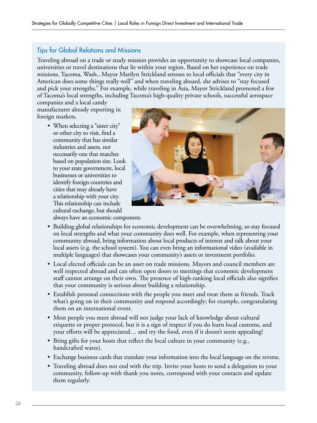#### Tips for Global Relations and Missions

Traveling abroad on a trade or study mission provides an opportunity to showcase local companies, universities or travel destinations that lie within your region. Based on her experience on trade missions, Tacoma, Wash., Mayor Marilyn Strickland stresses to local officials that "every city in American does some things really well" and when traveling aboard, she advises to "stay focused and pick your strengths." For example, while traveling in Asia, Mayor Strickland promoted a few of Tacoma's local strengths, including Tacoma's high-quality private schools, successful aerospace

companies and a local candy manufacturer already exporting in foreign markets.

> • When selecting a "sister city" or other city to visit, find a community that has similar industries and assets, not necessarily one that matches based on population size. Look to your state government, local businesses or universities to identify foreign countries and cities that may already have a relationship with your city. This relationship can include cultural exchange, but should



always have an economic component.

- Building global relationships for economic development can be overwhelming, so stay focused on local strengths and what your community does well. For example, when representing your community abroad, bring information about local products of interest and talk about your local assets (e.g. the school system). You can even bring an informational video (available in multiple languages) that showcases your community's assets or investment portfolio.
- Local elected officials can be an asset on trade missions. Mayors and council members are well respected abroad and can often open doors to meetings that economic development staff cannot arrange on their own. The presence of high-ranking local officials also signifies that your community is serious about building a relationship.
- Establish personal connections with the people you meet and treat them as friends. Track what's going on in their community and respond accordingly; for example, congratulating them on an international event.
- Most people you meet abroad will not judge your lack of knowledge about cultural etiquette or proper protocol, but it is a sign of respect if you do learn local customs, and your efforts will be appreciated… and try the food, even if it doesn't seem appealing!
- Bring gifts for your hosts that reflect the local culture in your community (e.g., handcrafted wares).
- Exchange business cards that translate your information into the local language on the reverse.
- Traveling abroad does not end with the trip. Invite your hosts to send a delegation to your community, follow-up with thank you notes, correspond with your contacts and update them regularly.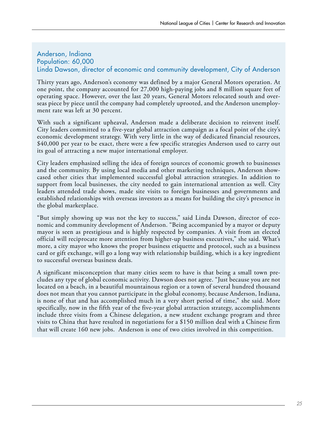#### Anderson, Indiana Population: 60,000 Linda Dawson, director of economic and community development, City of Anderson

Thirty years ago, Anderson's economy was defined by a major General Motors operation. At one point, the company accounted for 27,000 high-paying jobs and 8 million square feet of operating space. However, over the last 20 years, General Motors relocated south and overseas piece by piece until the company had completely uprooted, and the Anderson unemployment rate was left at 30 percent.

With such a significant upheaval, Anderson made a deliberate decision to reinvent itself. City leaders committed to a five-year global attraction campaign as a focal point of the city's economic development strategy. With very little in the way of dedicated financial resources, \$40,000 per year to be exact, there were a few specific strategies Anderson used to carry out its goal of attracting a new major international employer.

City leaders emphasized selling the idea of foreign sources of economic growth to businesses and the community. By using local media and other marketing techniques, Anderson showcased other cities that implemented successful global attraction strategies. In addition to support from local businesses, the city needed to gain international attention as well. City leaders attended trade shows, made site visits to foreign businesses and governments and established relationships with overseas investors as a means for building the city's presence in the global marketplace.

"But simply showing up was not the key to success," said Linda Dawson, director of economic and community development of Anderson. "Being accompanied by a mayor or deputy mayor is seen as prestigious and is highly respected by companies. A visit from an elected official will reciprocate more attention from higher-up business executives," she said. What's more, a city mayor who knows the proper business etiquette and protocol, such as a business card or gift exchange, will go a long way with relationship building, which is a key ingredient to successful overseas business deals.

A significant misconception that many cities seem to have is that being a small town precludes any type of global economic activity. Dawson does not agree. "Just because you are not located on a beach, in a beautiful mountainous region or a town of several hundred thousand does not mean that you cannot participate in the global economy, because Anderson, Indiana, is none of that and has accomplished much in a very short period of time," she said. More specifically, now in the fifth year of the five-year global attraction strategy, accomplishments include three visits from a Chinese delegation, a new student exchange program and three visits to China that have resulted in negotiations for a \$150 million deal with a Chinese firm that will create 160 new jobs. Anderson is one of two cities involved in this competition.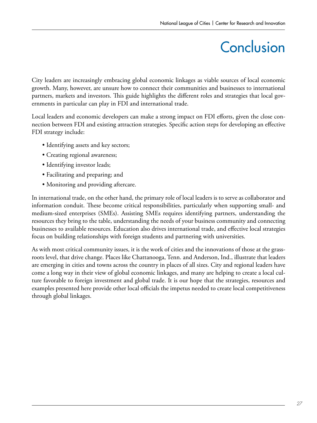# **Conclusion**

City leaders are increasingly embracing global economic linkages as viable sources of local economic growth. Many, however, are unsure how to connect their communities and businesses to international partners, markets and investors. This guide highlights the different roles and strategies that local governments in particular can play in FDI and international trade.

Local leaders and economic developers can make a strong impact on FDI efforts, given the close connection between FDI and existing attraction strategies. Specific action steps for developing an effective FDI strategy include:

- Identifying assets and key sectors;
- Creating regional awareness;
- Identifying investor leads;
- Facilitating and preparing; and
- Monitoring and providing aftercare.

In international trade, on the other hand, the primary role of local leaders is to serve as collaborator and information conduit. These become critical responsibilities, particularly when supporting small- and medium-sized enterprises (SMEs). Assisting SMEs requires identifying partners, understanding the resources they bring to the table, understanding the needs of your business community and connecting businesses to available resources. Education also drives international trade, and effective local strategies focus on building relationships with foreign students and partnering with universities.

As with most critical community issues, it is the work of cities and the innovations of those at the grassroots level, that drive change. Places like Chattanooga, Tenn. and Anderson, Ind., illustrate that leaders are emerging in cities and towns across the country in places of all sizes. City and regional leaders have come a long way in their view of global economic linkages, and many are helping to create a local culture favorable to foreign investment and global trade. It is our hope that the strategies, resources and examples presented here provide other local officials the impetus needed to create local competitiveness through global linkages.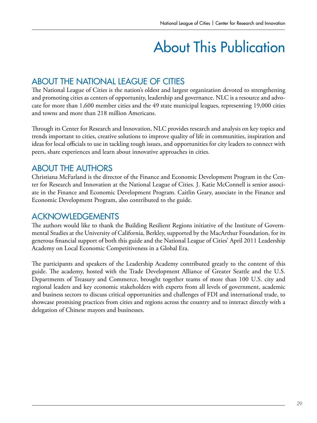# About This Publication

### ABOUT THE NATIONAL LEAGUE OF CITIES

The National League of Cities is the nation's oldest and largest organization devoted to strengthening and promoting cities as centers of opportunity, leadership and governance. NLC is a resource and advocate for more than 1,600 member cities and the 49 state municipal leagues, representing 19,000 cities and towns and more than 218 million Americans.

Through its Center for Research and Innovation, NLC provides research and analysis on key topics and trends important to cities, creative solutions to improve quality of life in communities, inspiration and ideas for local officials to use in tackling tough issues, and opportunities for city leaders to connect with peers, share experiences and learn about innovative approaches in cities.

### ABOUT THE AUTHORS

Christiana McFarland is the director of the Finance and Economic Development Program in the Center for Research and Innovation at the National League of Cities. J. Katie McConnell is senior associate in the Finance and Economic Development Program. Caitlin Geary, associate in the Finance and Economic Development Program, also contributed to the guide.

### ACKNOWLEDGEMENTS

The authors would like to thank the Building Resilient Regions initiative of the Institute of Governmental Studies at the University of California, Berkley, supported by the MacArthur Foundation, for its generous financial support of both this guide and the National League of Cities' April 2011 Leadership Academy on Local Economic Competitiveness in a Global Era.

The participants and speakers of the Leadership Academy contributed greatly to the content of this guide. The academy, hosted with the Trade Development Alliance of Greater Seattle and the U.S. Departments of Treasury and Commerce, brought together teams of more than 100 U.S. city and regional leaders and key economic stakeholders with experts from all levels of government, academic and business sectors to discuss critical opportunities and challenges of FDI and international trade, to showcase promising practices from cities and regions across the country and to interact directly with a delegation of Chinese mayors and businesses.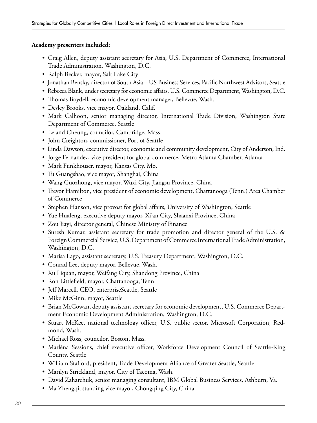#### **Academy presenters included:**

- Craig Allen, deputy assistant secretary for Asia, U.S. Department of Commerce, International Trade Administration, Washington, D.C.
- Ralph Becker, mayor, Salt Lake City
- Jonathan Bensky, director of South Asia US Business Services, Pacific Northwest Advisors, Seattle
- Rebecca Blank, under secretary for economic affairs, U.S. Commerce Department, Washington, D.C.
- Thomas Boydell, economic development manager, Bellevue, Wash.
- Desley Brooks, vice mayor, Oakland, Calif.
- Mark Calhoon, senior managing director, International Trade Division, Washington State Department of Commerce, Seattle
- Leland Cheung, councilor, Cambridge, Mass.
- John Creighton, commissioner, Port of Seattle
- Linda Dawson, executive director, economic and community development, City of Anderson, Ind.
- Jorge Fernandez, vice president for global commerce, Metro Atlanta Chamber, Atlanta
- Mark Funkhouser, mayor, Kansas City, Mo.
- Tu Guangshao, vice mayor, Shanghai, China
- Wang Guozhong, vice mayor, Wuxi City, Jiangsu Province, China
- Trevor Hamilton, vice president of economic development, Chattanooga (Tenn.) Area Chamber of Commerce
- Stephen Hanson, vice provost for global affairs, University of Washington, Seattle
- Yue Huafeng, executive deputy mayor, Xi'an City, Shaanxi Province, China
- Zou Jiayi, director general, Chinese Ministry of Finance
- Suresh Kumar, assistant secretary for trade promotion and director general of the U.S. & Foreign Commercial Service, U.S. Department of Commerce International Trade Administration, Washington, D.C.
- Marisa Lago, assistant secretary, U.S. Treasury Department, Washington, D.C.
- Conrad Lee, deputy mayor, Bellevue, Wash.
- Xu Liquan, mayor, Weifang City, Shandong Province, China
- Ron Littlefield, mayor, Chattanooga, Tenn.
- Jeff Marcell, CEO, enterpriseSeattle, Seattle
- Mike McGinn, mayor, Seattle
- Brian McGowan, deputy assistant secretary for economic development, U.S. Commerce Department Economic Development Administration, Washington, D.C.
- Stuart McKee, national technology officer, U.S. public sector, Microsoft Corporation, Redmond, Wash.
- Michael Ross, councilor, Boston, Mass.
- Marléna Sessions, chief executive officer, Workforce Development Council of Seattle-King County, Seattle
- William Stafford, president, Trade Development Alliance of Greater Seattle, Seattle
- Marilyn Strickland, mayor, City of Tacoma, Wash.
- David Zaharchuk, senior managing consultant, IBM Global Business Services, Ashburn, Va.
- Ma Zhengqi, standing vice mayor, Chongqing City, China